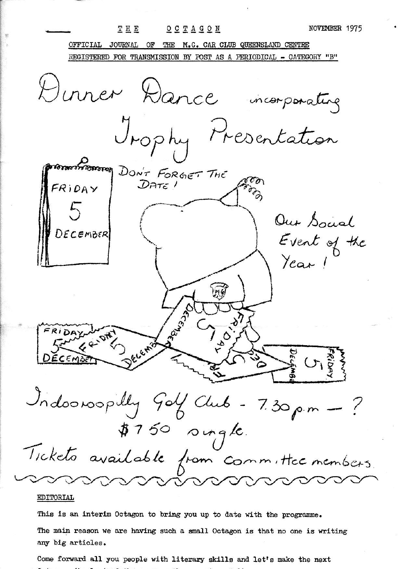NOVEMBER 1975 THE OCTAGON JOURNAL OF THE M.G. CAR CLUB QUEENSLAND CENTRE OFFICIAL REGISTERED FOR TRANSMISSION BY POST AS A PERIODICAL - CATEGORY "B" Dinner Dance incorporating Trophy Presentation CONSTRUCTION DON'T FORGET THE CON FRIDAY Our Social DECEMBER Event of the<br>Year! EAND ل<br>الم Indoonoopilly Golf Club - 7.30 p.m  $#750$  oungle. Tickets available from committee members.

## EDITORIAL

This is an interim Octagon to bring you up to date with the programme.

The main reason we are having such a small Octagon is that no one is writing any big articles.

Come forward all you people with literary skills and let's make the next